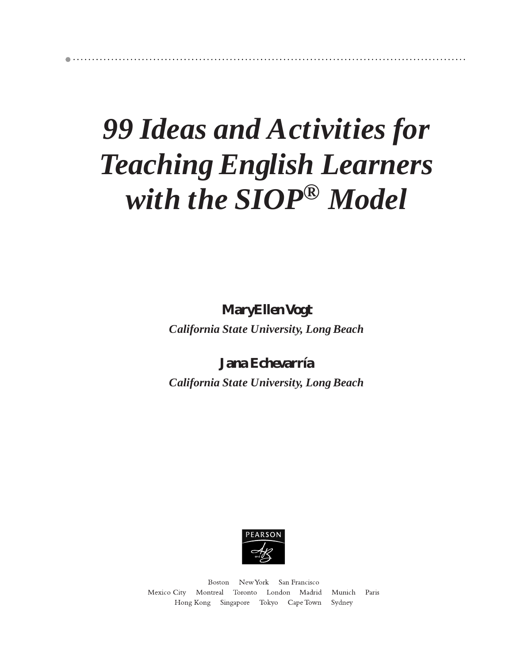## *99 Ideas and Activities for Teaching English Learners with the SIOP® Model*

**MaryEllen Vogt** *California State University, Long Beach*

**Jana Echevarría** *California State University, Long Beach*



Boston New York San Francisco Mexico City Montreal Toronto London Madrid Munich Paris Hong Kong Singapore Tokyo Cape Town Sydney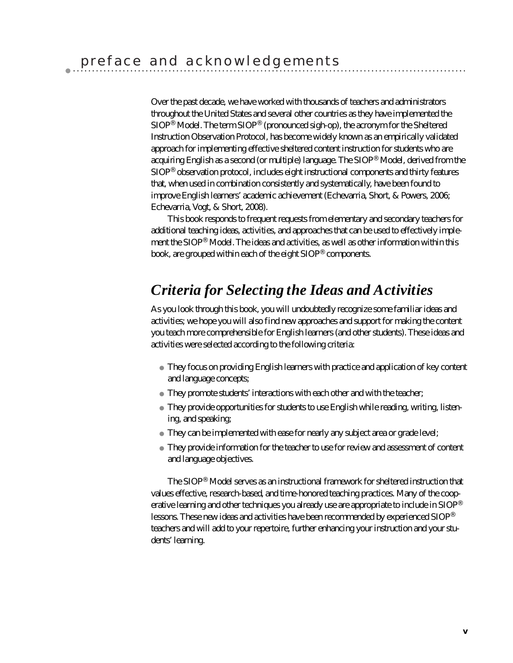Over the past decade, we have worked with thousands of teachers and administrators throughout the United States and several other countries as they have implemented the SIOP® Model. The term SIOP® (pronounced *sigh-op*), the acronym for the Sheltered Instruction Observation Protocol, has become widely known as an empirically validated approach for implementing effective sheltered content instruction for students who are acquiring English as a second (or multiple) language. The SIOP® Model, derived from the SIOP® observation protocol, includes eight instructional components and thirty features that, when used in combination consistently and systematically, have been found to improve English learners' academic achievement (Echevarria, Short, & Powers, 2006; Echevarria, Vogt, & Short, 2008).

This book responds to frequent requests from elementary and secondary teachers for additional teaching ideas, activities, and approaches that can be used to effectively implement the SIOP® Model. The ideas and activities, as well as other information within this book, are grouped within each of the eight SIOP® components.

## *Criteria for Selecting the Ideas and Activities*

As you look through this book, you will undoubtedly recognize some familiar ideas and activities; we hope you will also find new approaches and support for making the content you teach more comprehensible for English learners (and other students). These ideas and activities were selected according to the following criteria:

They focus on providing English learners with practice and application of key content and language concepts;

They promote students' interactions with each other and with the teacher;

They provide opportunities for students to use English while reading, writing, listening, and speaking;

They can be implemented with ease for nearly any subject area or grade level;

They provide information for the teacher to use for review and assessment of content and language objectives.

The SIOP® Model serves as an instructional framework for sheltered instruction that values effective, research-based, and time-honored teaching practices. Many of the cooperative learning and other techniques you already use are appropriate to include in SIOP® lessons. These new ideas and activities have been recommended by experienced SIOP® teachers and will add to your repertoire, further enhancing your instruction and your students' learning.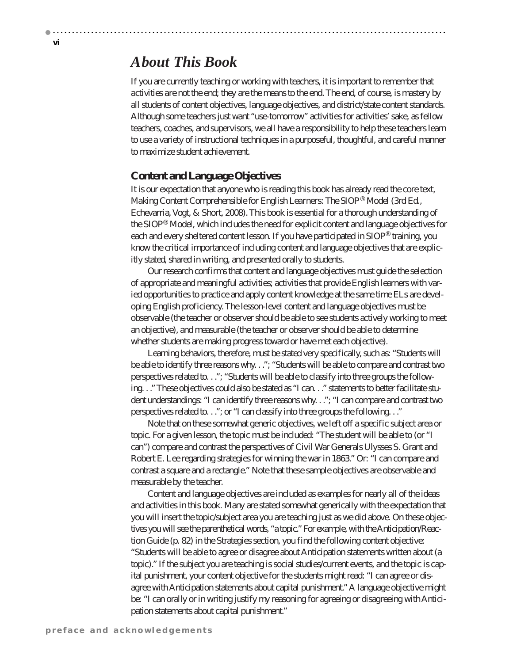## *About This Book*

If you are currently teaching or working with teachers, it is important to remember that *activities are not the end*; they are the means to the end. The end, of course, is mastery by all students of content objectives, language objectives, and district/state content standards. Although some teachers just want "use-tomorrow" activities for activities' sake, as fellow teachers, coaches, and supervisors, we all have a responsibility to help these teachers learn to use a variety of instructional techniques in a purposeful, thoughtful, and careful manner to maximize student achievement.

### **Content and Language Objectives**

It is our expectation that anyone who is reading this book has already read the core text, *Making Content Comprehensible for English Learners: The SIOP® Model (3rd Ed.*, Echevarria, Vogt, & Short, 2008). This book is essential for a thorough understanding of the SIOP® Model, which includes the need for explicit content and language objectives for each and every sheltered content lesson. If you have participated in SIOP® training, you know the critical importance of including content and language objectives that are explicitly stated, shared in writing, and presented orally to students.

Our research confirms that content and language objectives must guide the selection of appropriate and meaningful activities; activities that provide English learners with varied opportunities to practice and apply content knowledge at the same time ELs are developing English proficiency. The lesson-level content and language objectives must be observable (the teacher or observer should be able to see students actively working to meet an objective), and measurable (the teacher or observer should be able to determine whether students are making progress toward or have met each objective).

Learning behaviors, therefore, must be stated very specifically, such as: "Students will be able to identify three reasons why. . ."; "Students will be able to compare and contrast two perspectives related to. . ."; "Students will be able to classify into three groups the following. . ." These objectives could also be stated as "I can. . ." statements to better facilitate student understandings: "I can identify three reasons why. . ."; "I can compare and contrast two perspectives related to. . ."; or "I can classify into three groups the following. . ."

Note that on these somewhat generic objectives, we left off a specific subject area or topic. For a given lesson, the topic must be included: "The student will be able to (or "I can") compare and contrast the perspectives of Civil War Generals Ulysses S. Grant and Robert E. Lee regarding strategies for winning the war in 1863." Or: "I can compare and contrast a square and a rectangle." Note that these sample objectives are observable and measurable by the teacher.

Content and language objectives are included as examples for nearly all of the ideas and activities in this book. Many are stated somewhat generically with the expectation that you will insert the topic/subject area you are teaching just as we did above. On these objectives you will see the parenthetical words, "a topic." For example, with the Anticipation/Reaction Guide (p. 82) in the Strategies section, you find the following content objective: "Students will be able to agree or disagree about Anticipation statements written about (a topic)." If the subject you are teaching is social studies/current events, and the topic is capital punishment, your content objective for the students might read: "I can agree or disagree with Anticipation statements about capital punishment." A language objective might be: "I can orally or in writing justify my reasoning for agreeing or disagreeing with Anticipation statements about capital punishment."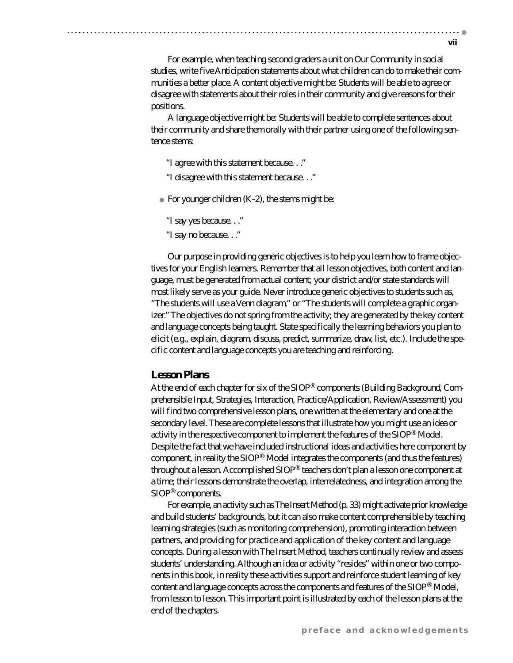For example, when teaching second graders a unit on Our Community in social studies, write five Anticipation statements about what children can do to make their communities a better place. A content objective might be: Students will be able to agree or disagree with statements about their roles in their community and give reasons for their positions.

A language objective might be: Students will be able to complete sentences about their community and share them orally with their partner using one of the following sentence stems:

"I agree with this statement because. . ." "I disagree with this statement because. . ."

For younger children  $(K-2)$ , the stems might be:

"I say yes because. . ." "I say no because. . ."

Our purpose in providing generic objectives is to help you learn how to frame objectives for your English learners. Remember that all lesson objectives, both content and language, must be generated from actual content; your district and/or state standards will most likely serve as your guide. Never introduce generic objectives to students such as, "The students will use a Venn diagram," or "The students will complete a graphic organizer." The objectives do not spring from the activity; they are generated by the key content and language concepts being taught. State specifically the learning behaviors you plan to elicit (e.g., explain, diagram, discuss, predict, summarize, draw, list, etc.). Include the specific content and language concepts you are teaching and reinforcing.

### **Lesson Plans**

At the end of each chapter for six of the SIOP® components (Building Background, Comprehensible Input, Strategies, Interaction, Practice/Application, Review/Assessment) you will find two comprehensive lesson plans, one written at the elementary and one at the secondary level. These are complete lessons that illustrate how you might use an idea or activity in the respective component to implement the features of the SIOP® Model. Despite the fact that we have included instructional ideas and activities here component by component, in reality the SIOP® Model integrates the components (and thus the features) throughout a lesson. Accomplished SIOP® teachers don't plan a lesson one component at a time; their lessons demonstrate the overlap, interrelatedness, and integration among the SIOP® components.

For example, an activity such as The Insert Method (p. 33) might activate prior knowledge and build students' backgrounds, but it can also make content comprehensible by teaching learning strategies (such as monitoring comprehension), promoting interaction between partners, and providing for practice and application of the key content and language concepts. During a lesson with The Insert Method, teachers continually review and assess students' understanding. Although an idea or activity "resides" within one or two components in this book, in reality these activities support and reinforce student learning of key content and language concepts across the components and features of the SIOP® Model, from lesson to lesson. This important point is illustrated by each of the lesson plans at the end of the chapters.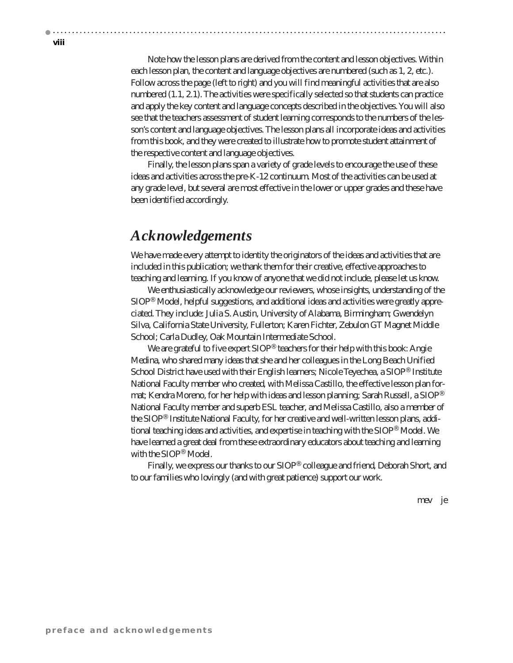**viii**

Note how the lesson plans are derived from the content and lesson objectives. Within each lesson plan, the content and language objectives are numbered (such as 1, 2, etc.). Follow across the page (left to right) and you will find meaningful activities that are also numbered (1.1, 2.1). The activities were specifically selected so that students can practice and apply the key content and language concepts described in the objectives. You will also see that the teachers assessment of student learning corresponds to the numbers of the lesson's content and language objectives. The lesson plans all incorporate ideas and activities from this book, and they were created to illustrate how to promote student attainment of the respective content and language objectives.

Finally, the lesson plans span a variety of grade levels to encourage the use of these ideas and activities across the pre-K-12 continuum. Most of the activities can be used at any grade level, but several are most effective in the lower or upper grades and these have been identified accordingly.

## *Acknowledgements*

We have made every attempt to identity the originators of the ideas and activities that are included in this publication; we thank them for their creative, effective approaches to teaching and learning. If you know of anyone that we did not include, please let us know.

We enthusiastically acknowledge our reviewers, whose insights, understanding of the SIOP® Model, helpful suggestions, and additional ideas and activities were greatly appreciated. They include: Julia S. Austin, University of Alabama, Birmingham; Gwendelyn Silva, California State University, Fullerton; Karen Fichter, Zebulon GT Magnet Middle School; Carla Dudley, Oak Mountain Intermediate School.

We are grateful to five expert  $SIOP^{\otimes}$  teachers for their help with this book: Angie Medina, who shared many ideas that she and her colleagues in the Long Beach Unified School District have used with their English learners; Nicole Teyechea, a SIOP® Institute National Faculty member who created, with Melissa Castillo, the effective lesson plan format; Kendra Moreno, for her help with ideas and lesson planning; Sarah Russell, a SIOP® National Faculty member and superb ESL teacher, and Melissa Castillo, also a member of the SIOP® Institute National Faculty, for her creative and well-written lesson plans, additional teaching ideas and activities, and expertise in teaching with the SIOP® Model. We have learned a great deal from these extraordinary educators about teaching and learning with the SIOP® Model.

Finally, we express our thanks to our SIOP® colleague and friend, Deborah Short, and to our families who lovingly (and with great patience) support our work.

mev je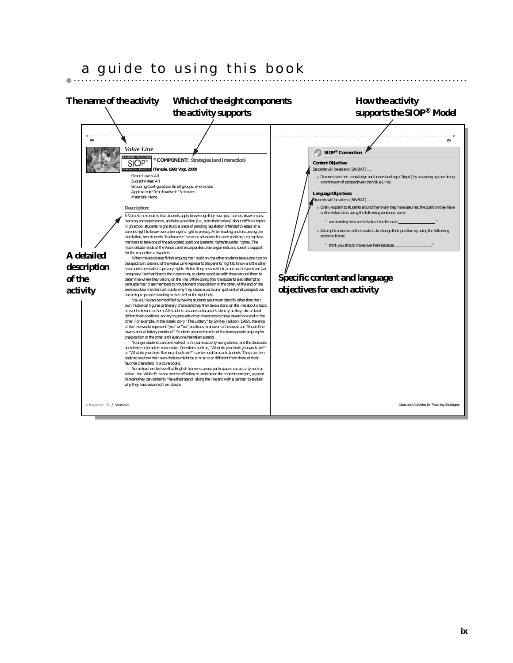## a guide to using this book

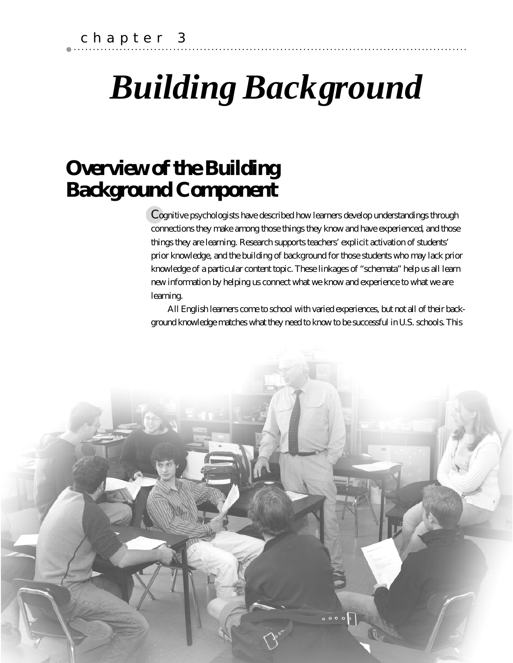# *Building Background*

## **Overview of the Building Background Component**

Cognitive psychologists have described how learners develop understandings through connections they make among those things they know and have experienced, and those things they are learning. Research supports teachers' explicit activation of students' prior knowledge, and the building of background for those students who may lack prior knowledge of a particular content topic. These linkages of "schemata" help us all learn new information by helping us connect what we know and experience to what we are learning.

All English learners come to school with varied experiences, but not all of their background knowledge matches what they need to know to be successful in U.S. schools. This

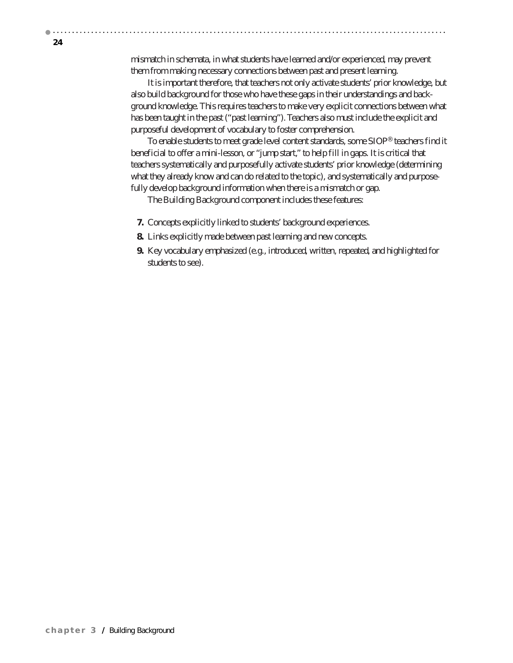**24**

mismatch in schemata, in what students have learned and/or experienced, may prevent them from making necessary connections between past and present learning.

It is important therefore, that teachers not only activate students' prior knowledge, but also build background for those who have these gaps in their understandings and background knowledge. This requires teachers to make very explicit connections between what has been taught in the past ("past learning"). Teachers also must include the explicit and purposeful development of vocabulary to foster comprehension.

To enable students to meet grade level content standards, some SIOP® teachers find it beneficial to offer a mini-lesson, or "jump start," to help fill in gaps. It is critical that teachers systematically and purposefully activate students' prior knowledge (determining what they already know and can do related to the topic), and systematically and purposefully develop background information when there is a mismatch or gap.

The Building Background component includes these features:

- **7.** Concepts explicitly linked to students' background experiences.
- **8.** Links explicitly made between past learning and new concepts.
- **9.** Key vocabulary emphasized (e.g., introduced, written, repeated, and highlighted for students to see).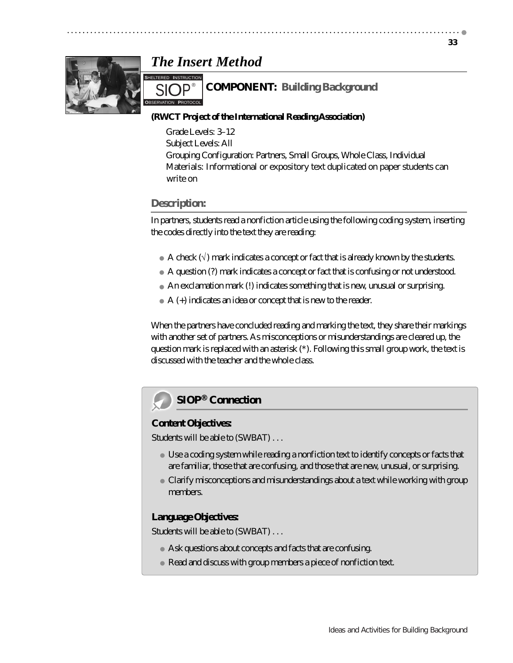## *The Insert Method*



#### **COMPONENT: Building Background S**HELTERED **I**NSTRUCTION

## **(RWCT Project of the International Reading Association)**

Grade Levels: 3–12 Subject Levels: All Grouping Configuration: Partners, Small Groups, Whole Class, Individual Materials: Informational or expository text duplicated on paper students can write on

### **Description:**

SIOP<sup>®</sup>

In partners, students read a nonfiction article using the following coding system, inserting the codes directly into the text they are reading:

A check  $(\sqrt{})$  mark indicates a concept or fact that is already known by the students.

A question (?) mark indicates a concept or fact that is confusing or not understood.

An exclamation mark (!) indicates something that is new, unusual or surprising.

A (+) indicates an idea or concept that is new to the reader.

When the partners have concluded reading and marking the text, they share their markings with another set of partners. As misconceptions or misunderstandings are cleared up, the question mark is replaced with an asterisk (\*). Following this small group work, the text is discussed with the teacher and the whole class.

## **SIOP® Connection**

#### **Content Objectives:**

Students will be able to (SWBAT) . . .

Use a coding system while reading a nonfiction text to identify concepts or facts that are familiar, those that are confusing, and those that are new, unusual, or surprising.

Clarify misconceptions and misunderstandings about a text while working with group members.

#### **Language Objectives:**

Students will be able to (SWBAT) . . .

Ask questions about concepts and facts that are confusing.

Read and discuss with group members a piece of nonfiction text.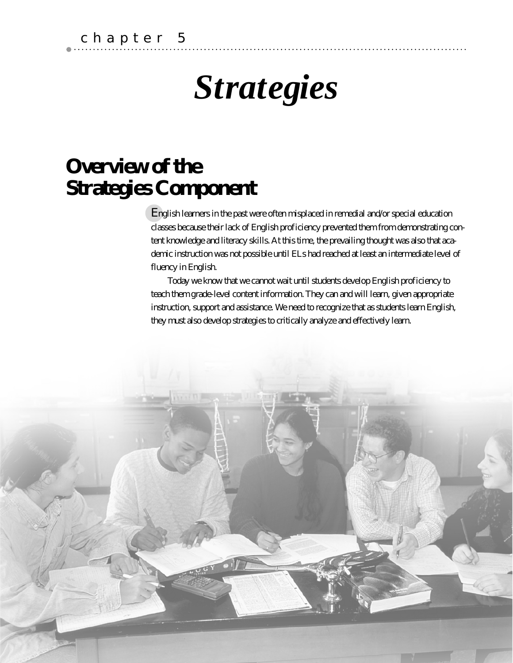# *Strategies*

## **Overview of the Strategies Component**

English learners in the past were often misplaced in remedial and/or special education classes because their lack of English proficiency prevented them from demonstrating content knowledge and literacy skills. At this time, the prevailing thought was also that academic instruction was not possible until ELs had reached at least an intermediate level of fluency in English.

Today we know that we cannot wait until students develop English proficiency to teach them grade-level content information. They can and will learn, given appropriate instruction, support and assistance. We need to recognize that as students learn English, they must also develop strategies to critically analyze and effectively learn.

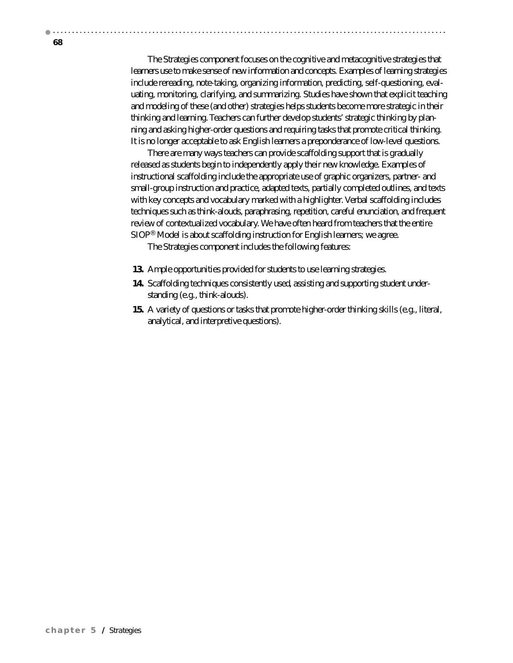The Strategies component focuses on the cognitive and metacognitive strategies that learners use to make sense of new information and concepts. Examples of learning strategies include rereading, note-taking, organizing information, predicting, self-questioning, evaluating, monitoring, clarifying, and summarizing. Studies have shown that explicit teaching and modeling of these (and other) strategies helps students become more strategic in their thinking and learning. Teachers can further develop students' strategic thinking by planning and asking higher-order questions and requiring tasks that promote critical thinking. It is no longer acceptable to ask English learners a preponderance of low-level questions.

There are many ways teachers can provide scaffolding support that is gradually released as students begin to independently apply their new knowledge. Examples of instructional scaffolding include the appropriate use of graphic organizers, partner- and small-group instruction and practice, adapted texts, partially completed outlines, and texts with key concepts and vocabulary marked with a highlighter. Verbal scaffolding includes techniques such as think-alouds, paraphrasing, repetition, careful enunciation, and frequent review of contextualized vocabulary. We have often heard from teachers that the entire SIOP® Model is about scaffolding instruction for English learners; we agree.

The Strategies component includes the following features:

- **13.** Ample opportunities provided for students to use learning strategies.
- **14.** Scaffolding techniques consistently used, assisting and supporting student understanding (e.g., think-alouds).
- **15.** A variety of questions or tasks that promote higher-order thinking skills (e.g., literal, analytical, and interpretive questions).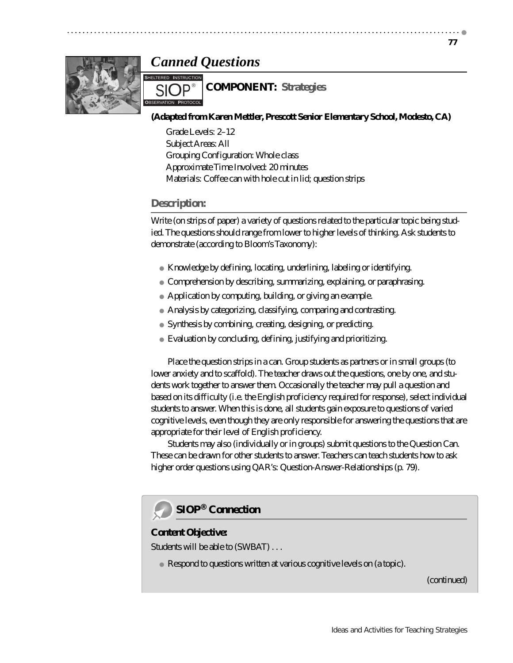## *Canned Questions*



## **COMPONENT: Strategies**

#### **(Adapted from Karen Mettler, Prescott Senior Elementary School, Modesto, CA)**

Grade Levels: 2–12 Subject Areas: All Grouping Configuration: Whole class Approximate Time Involved: 20 minutes Materials: Coffee can with hole cut in lid; question strips

### **Description:**

SIOP<sup>®</sup>

Write (on strips of paper) a variety of questions related to the particular topic being studied. The questions should range from lower to higher levels of thinking. Ask students to demonstrate (according to Bloom's Taxonomy):

Knowledge by defining, locating, underlining, labeling or identifying. Comprehension by describing, summarizing, explaining, or paraphrasing. Application by computing, building, or giving an example. Analysis by categorizing, classifying, comparing and contrasting. Synthesis by combining, creating, designing, or predicting.

Evaluation by concluding, defining, justifying and prioritizing.

Place the question strips in a can. Group students as partners or in small groups (to lower anxiety and to scaffold). The teacher draws out the questions, one by one, and students work together to answer them. Occasionally the teacher may pull a question and based on its difficulty (i.e. the English proficiency required for response), select individual students to answer. When this is done, all students gain exposure to questions of varied cognitive levels, even though they are only responsible for answering the questions that are appropriate for their level of English proficiency.

Students may also (individually or in groups) submit questions to the Question Can. These can be drawn for other students to answer. Teachers can teach students how to ask higher order questions using QAR's: Question-Answer-Relationships (p. 79).



#### **Content Objective:**

Students will be able to (SWBAT) . . .

Respond to questions written at various cognitive levels on (a topic).

*(continued)*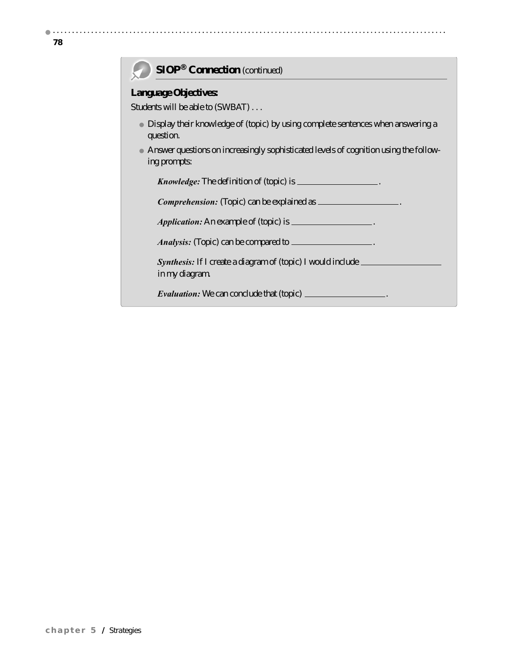$\blacksquare$ 

## **SIOP® Connection** *(continued)*

#### **Language Objectives:**

Students will be able to (SWBAT) . . .

Display their knowledge of (topic) by using complete sentences when answering a question.

Answer questions on increasingly sophisticated levels of cognition using the following prompts:

*Knowledge:* The definition of (topic) is .

**Comprehension:** (Topic) can be explained as  $\equiv$ 

*Application:* An example of (topic) is  $\Box$ 

*Analysis:* (Topic) can be compared to \_\_\_\_\_\_\_\_\_\_\_\_\_\_\_\_.

**Synthesis:** If I create a diagram of (topic) I would include \_\_\_\_\_ in my diagram.

*Evaluation:* We can conclude that (topic)  $\_\_$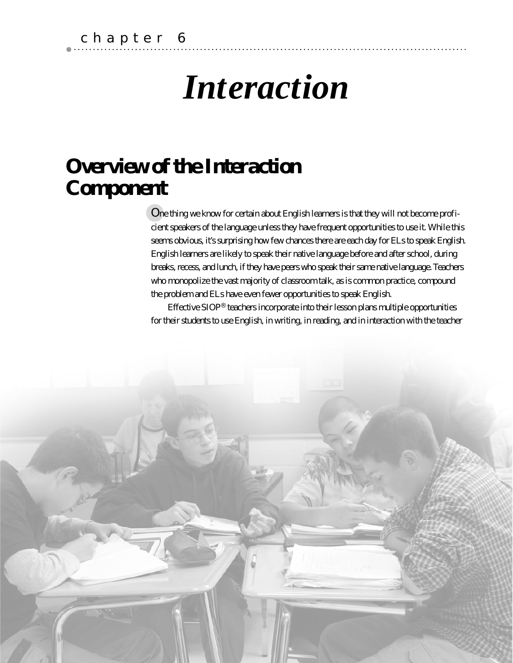# *Interaction*

## **Overview of the Interaction Component**

One thing we know for certain about English learners is that they will not become proficient speakers of the language unless they have frequent opportunities to use it. While this seems obvious, it's surprising how few chances there are each day for ELs to speak English. English learners are likely to speak their native language before and after school, during breaks, recess, and lunch, if they have peers who speak their same native language. Teachers who monopolize the vast majority of classroom talk, as is common practice, compound the problem and ELs have even fewer opportunities to speak English.

Effective SIOP® teachers incorporate into their lesson plans multiple opportunities for their students to use English, in writing, in reading, and in interaction with the teacher

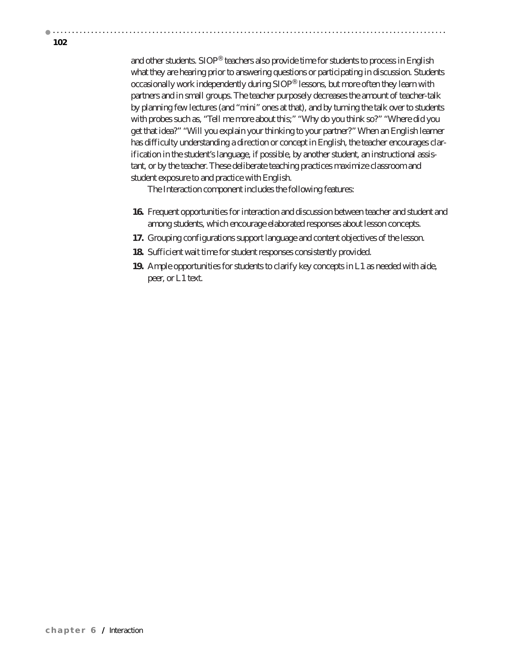and other students. SIOP® teachers also provide time for students to process in English what they are hearing prior to answering questions or participating in discussion. Students occasionally work independently during SIOP® lessons, but more often they learn with partners and in small groups. The teacher purposely decreases the amount of teacher-talk by planning few lectures (and "mini" ones at that), and by turning the talk over to students with probes such as, "Tell me more about this;" "Why do you think so?" "Where did you get that idea?" "Will you explain your thinking to your partner?" When an English learner has difficulty understanding a direction or concept in English, the teacher encourages clarification in the student's language, if possible, by another student, an instructional assistant, or by the teacher. These deliberate teaching practices maximize classroom and student exposure to and practice with English.

The Interaction component includes the following features:

- **16.** Frequent opportunities for interaction and discussion between teacher and student and among students, which encourage elaborated responses about lesson concepts.
- **17.** Grouping configurations support language and content objectives of the lesson.
- **18.** Sufficient wait time for student responses consistently provided.
- **19.** Ample opportunities for students to clarify key concepts in L1 as needed with aide, peer, or L1 text.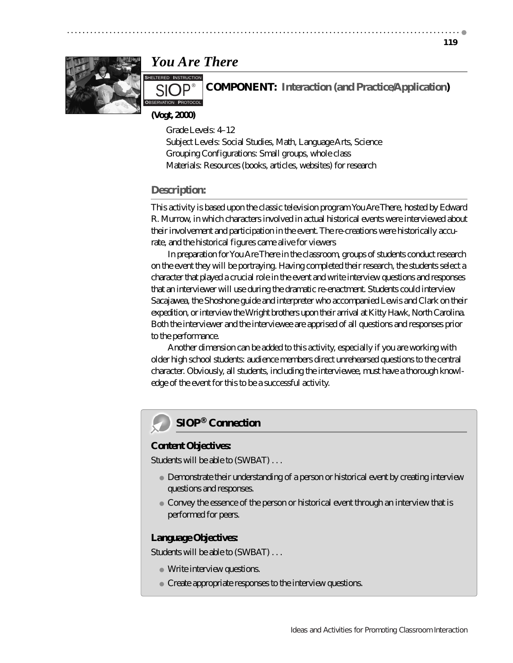### **119**



## *You Are There*

SIOP<sup>®</sup> **PROTOCOL** 

**COMPONENT: Interaction (and Practice/Application)**

**(Vogt, 2000)**

Grade Levels: 4–12 Subject Levels: Social Studies, Math, Language Arts, Science Grouping Configurations: Small groups, whole class Materials: Resources (books, articles, websites) for research

## **Description:**

This activity is based upon the classic television program *You Are There*, hosted by Edward R. Murrow, in which characters involved in actual historical events were interviewed about their involvement and participation in the event. The re-creations were historically accurate, and the historical figures came alive for viewers

In preparation for You Are There in the classroom, groups of students conduct research on the event they will be portraying. Having completed their research, the students select a character that played a crucial role in the event and write interview questions and responses that an interviewer will use during the dramatic re-enactment. Students could interview Sacajawea, the Shoshone guide and interpreter who accompanied Lewis and Clark on their expedition, or interview the Wright brothers upon their arrival at Kitty Hawk, North Carolina. Both the interviewer and the interviewee are apprised of all questions and responses prior to the performance.

Another dimension can be added to this activity, especially if you are working with older high school students: audience members direct unrehearsed questions to the central character. Obviously, all students, including the interviewee, must have a thorough knowledge of the event for this to be a successful activity.



### **Content Objectives:**

Students will be able to (SWBAT) . . .

Demonstrate their understanding of a person or historical event by creating interview questions and responses.

Convey the essence of the person or historical event through an interview that is performed for peers.

### **Language Objectives:**

Students will be able to (SWBAT) . . .

Write interview questions.

Create appropriate responses to the interview questions.